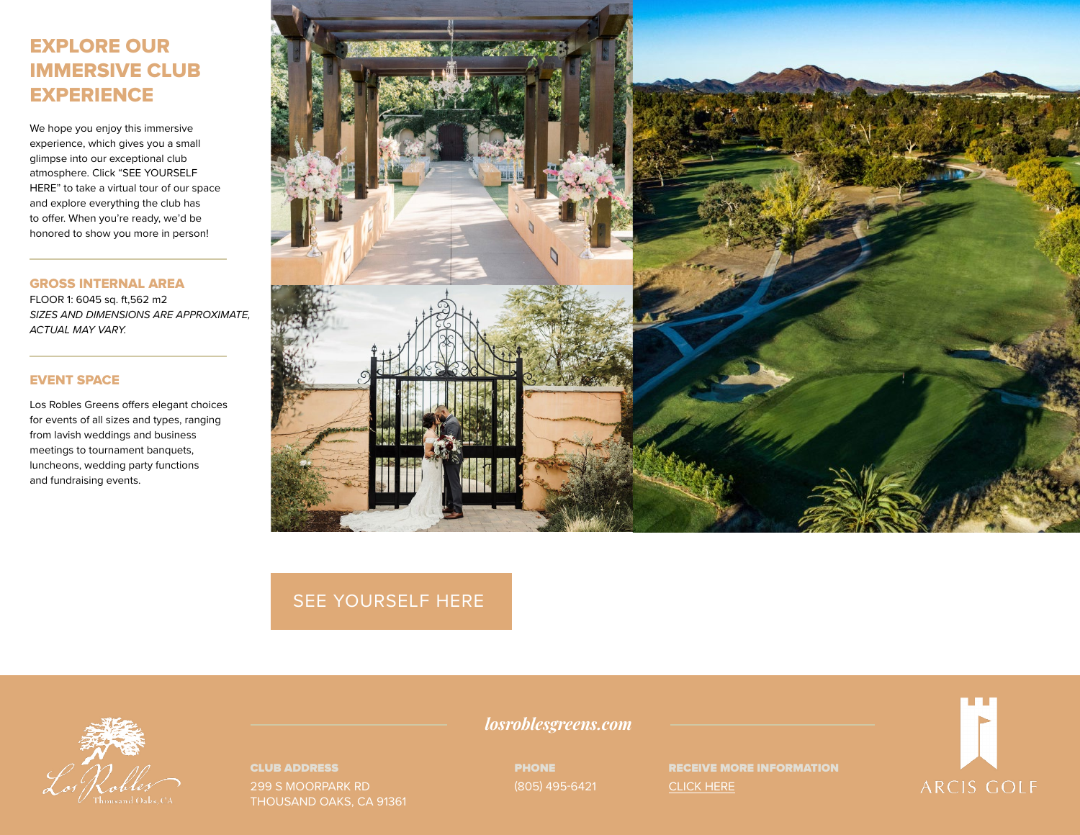# EXPLORE OUR IMMERSIVE CLUB EXPERIENCE

We hope you enjoy this immersive experience, which gives you a small glimpse into our exceptional club atmosphere. Click "SEE YOURSELF HERE" to take a virtual tour of our space and explore everything the club has to offer. When you're ready, we'd be honored to show you more in person!

### GROSS INTERNAL AREA

FLOOR 1: 6045 sq. ft,562 m2 *SIZES AND DIMENSIONS ARE APPROXIMATE, ACTUAL MAY VARY.*

### EVENT SPACE

Los Robles Greens offers elegant choices for events of all sizes and types, ranging from lavish weddings and business meetings to tournament banquets, luncheons, wedding party functions and fundraising events.



## [SEE YOURSELF HERE](https://visitingmedia.com/tt8/?ttid=los-robles-golf-course#/3d-model)



#### CLUB ADDRESS

299 S MOORPARK RD THOUSAND OAKS, CA 91361 *losroblesgreens.com*

(805) 495-6421

RECEIVE MORE INFORMATION [CLICK HERE](https://www.losroblesgreens.com/private-events-vm)